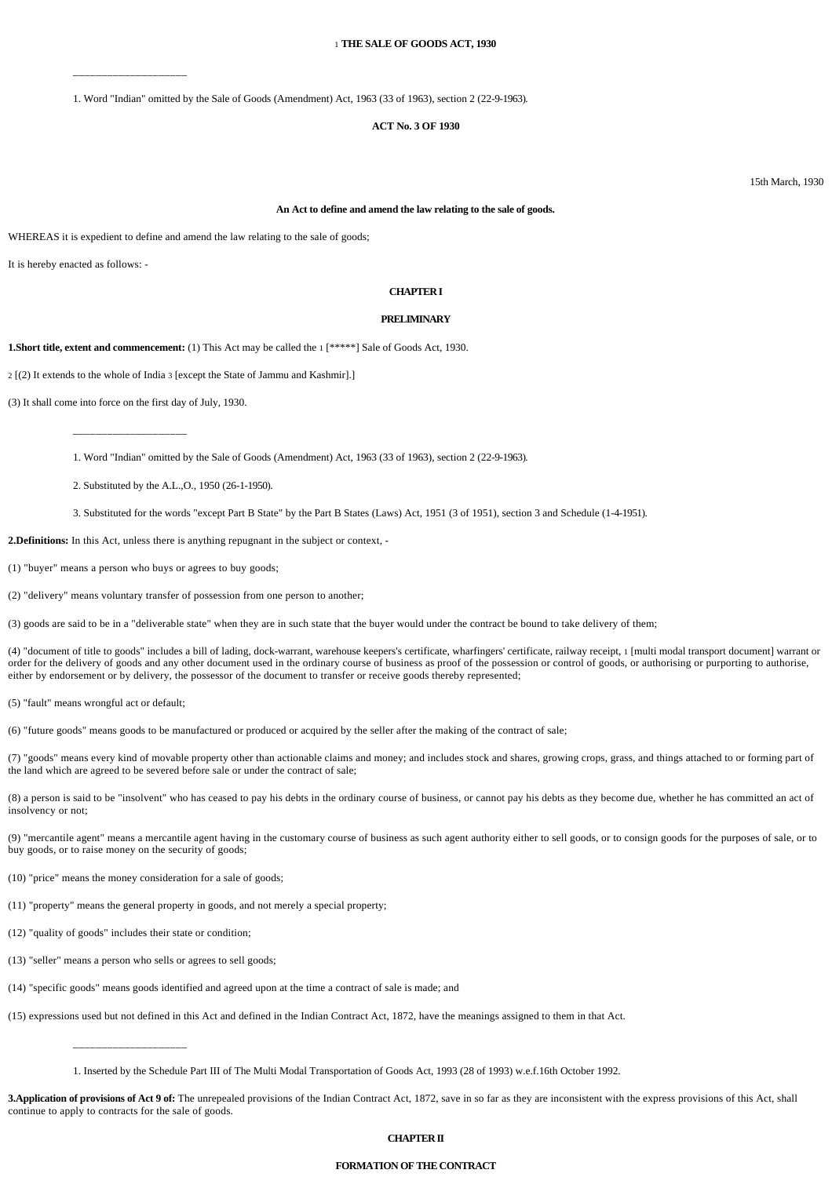## 1 **THE SALE OF GOODS ACT, 1930**

1. Word "Indian" omitted by the Sale of Goods (Amendment) Act, 1963 (33 of 1963), section 2 (22-9-1963).

## **ACT No. 3 OF 1930**

15th March, 1930

#### **An Act to define and amend the law relating to the sale of goods.**

WHEREAS it is expedient to define and amend the law relating to the sale of goods;

It is hereby enacted as follows: -

## **CHAPTER I**

## **PRELIMINARY**

**1.Short title, extent and commencement:** (1) This Act may be called the 1 [\*\*\*\*\*] Sale of Goods Act, 1930.

2 [(2) It extends to the whole of India 3 [except the State of Jammu and Kashmir].]

(3) It shall come into force on the first day of July, 1930.

\_\_\_\_\_\_\_\_\_\_\_\_\_\_\_\_\_\_\_\_

\_\_\_\_\_\_\_\_\_\_\_\_\_\_\_\_\_\_\_\_

1. Word "Indian" omitted by the Sale of Goods (Amendment) Act, 1963 (33 of 1963), section 2 (22-9-1963).

2. Substituted by the A.L.,O., 1950 (26-1-1950).

3. Substituted for the words "except Part B State" by the Part B States (Laws) Act, 1951 (3 of 1951), section 3 and Schedule (1-4-1951).

**2.Definitions:** In this Act, unless there is anything repugnant in the subject or context, -

(1) "buyer" means a person who buys or agrees to buy goods;

(2) "delivery" means voluntary transfer of possession from one person to another;

(3) goods are said to be in a "deliverable state" when they are in such state that the buyer would under the contract be bound to take delivery of them;

(4) "document of title to goods" includes a bill of lading, dock-warrant, warehouse keepers's certificate, wharfingers' certificate, railway receipt, 1 [multi modal transport document] warrant or order for the delivery of goods and any other document used in the ordinary course of business as proof of the possession or control of goods, or authorising or purporting to authorise, either by endorsement or by delivery, the possessor of the document to transfer or receive goods thereby represented;

(5) "fault" means wrongful act or default;

(6) "future goods" means goods to be manufactured or produced or acquired by the seller after the making of the contract of sale;

(7) "goods" means every kind of movable property other than actionable claims and money; and includes stock and shares, growing crops, grass, and things attached to or forming part of the land which are agreed to be severed before sale or under the contract of sale;

(8) a person is said to be "insolvent" who has ceased to pay his debts in the ordinary course of business, or cannot pay his debts as they become due, whether he has committed an act of insolvency or not;

(9) "mercantile agent" means a mercantile agent having in the customary course of business as such agent authority either to sell goods, or to consign goods for the purposes of sale, or to buy goods, or to raise money on the security of goods;

(10) "price" means the money consideration for a sale of goods;

(11) "property" means the general property in goods, and not merely a special property;

(12) "quality of goods" includes their state or condition;

\_\_\_\_\_\_\_\_\_\_\_\_\_\_\_\_\_\_\_\_

(13) "seller" means a person who sells or agrees to sell goods;

(14) "specific goods" means goods identified and agreed upon at the time a contract of sale is made; and

(15) expressions used but not defined in this Act and defined in the Indian Contract Act, 1872, have the meanings assigned to them in that Act.

1. Inserted by the Schedule Part III of The Multi Modal Transportation of Goods Act, 1993 (28 of 1993) w.e.f.16th October 1992.

**3.Application of provisions of Act 9 of:** The unrepealed provisions of the Indian Contract Act, 1872, save in so far as they are inconsistent with the express provisions of this Act, shall continue to apply to contracts for the sale of goods.

# **CHAPTER II**

## **FORMATION OF THE CONTRACT**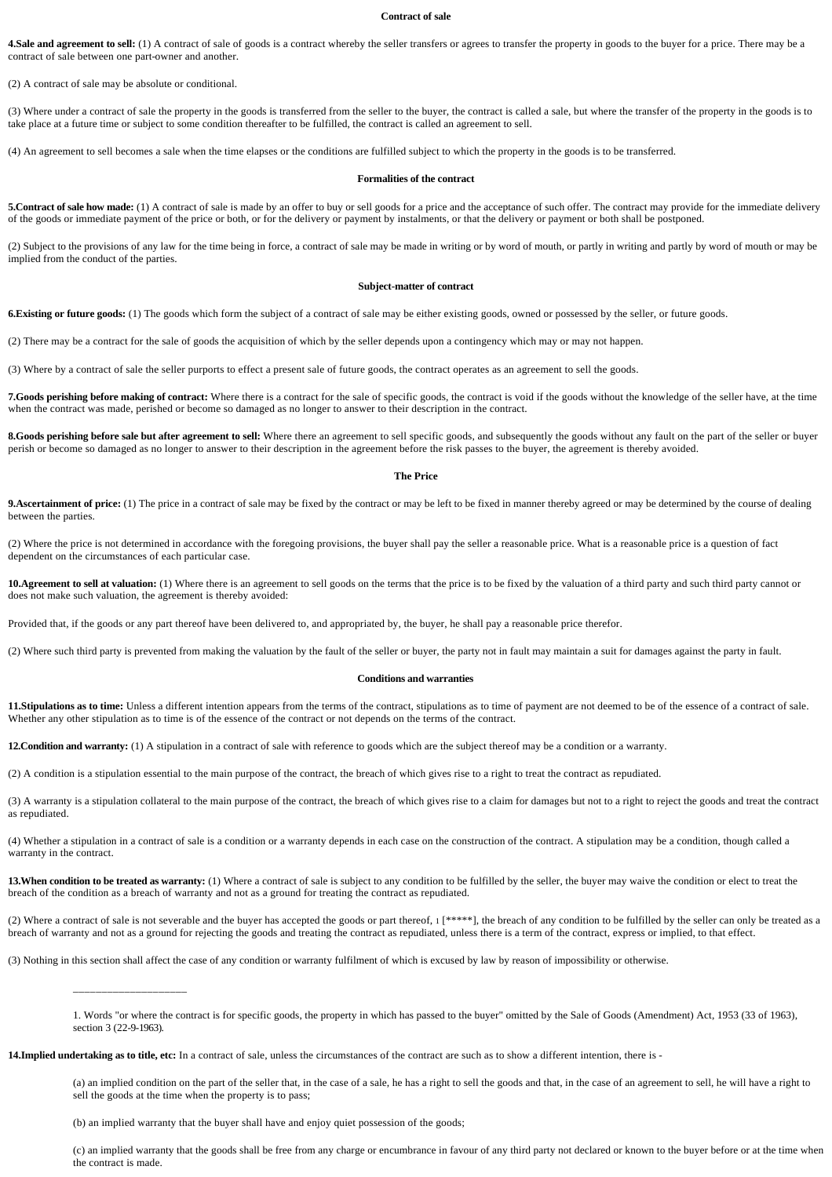#### **Contract of sale**

4.Sale and agreement to sell: (1) A contract of sale of goods is a contract whereby the seller transfers or agrees to transfer the property in goods to the buyer for a price. There may be a contract of sale between one part-owner and another.

(2) A contract of sale may be absolute or conditional.

(3) Where under a contract of sale the property in the goods is transferred from the seller to the buyer, the contract is called a sale, but where the transfer of the property in the goods is to take place at a future time or subject to some condition thereafter to be fulfilled, the contract is called an agreement to sell.

(4) An agreement to sell becomes a sale when the time elapses or the conditions are fulfilled subject to which the property in the goods is to be transferred.

#### **Formalities of the contract**

**5.Contract of sale how made:** (1) A contract of sale is made by an offer to buy or sell goods for a price and the acceptance of such offer. The contract may provide for the immediate delivery of the goods or immediate payment of the price or both, or for the delivery or payment by instalments, or that the delivery or payment or both shall be postponed.

(2) Subject to the provisions of any law for the time being in force, a contract of sale may be made in writing or by word of mouth, or partly in writing and partly by word of mouth or may be implied from the conduct of the parties.

### **Subject-matter of contract**

**6.Existing or future goods:** (1) The goods which form the subject of a contract of sale may be either existing goods, owned or possessed by the seller, or future goods.

(2) There may be a contract for the sale of goods the acquisition of which by the seller depends upon a contingency which may or may not happen.

(3) Where by a contract of sale the seller purports to effect a present sale of future goods, the contract operates as an agreement to sell the goods.

**7.Goods perishing before making of contract:** Where there is a contract for the sale of specific goods, the contract is void if the goods without the knowledge of the seller have, at the time when the contract was made, perished or become so damaged as no longer to answer to their description in the contract.

8.Goods perishing before sale but after agreement to sell: Where there an agreement to sell specific goods, and subsequently the goods without any fault on the part of the seller or buyer perish or become so damaged as no longer to answer to their description in the agreement before the risk passes to the buyer, the agreement is thereby avoided.

#### **The Price**

**9.Ascertainment of price:** (1) The price in a contract of sale may be fixed by the contract or may be left to be fixed in manner thereby agreed or may be determined by the course of dealing between the parties.

(2) Where the price is not determined in accordance with the foregoing provisions, the buyer shall pay the seller a reasonable price. What is a reasonable price is a question of fact dependent on the circumstances of each particular case.

10. Agreement to sell at valuation: (1) Where there is an agreement to sell goods on the terms that the price is to be fixed by the valuation of a third party and such third party cannot or does not make such valuation, the agreement is thereby avoided:

Provided that, if the goods or any part thereof have been delivered to, and appropriated by, the buyer, he shall pay a reasonable price therefor.

(2) Where such third party is prevented from making the valuation by the fault of the seller or buyer, the party not in fault may maintain a suit for damages against the party in fault.

## **Conditions and warranties**

**11.Stipulations as to time:** Unless a different intention appears from the terms of the contract, stipulations as to time of payment are not deemed to be of the essence of a contract of sale. Whether any other stipulation as to time is of the essence of the contract or not depends on the terms of the contract.

**12.Condition and warranty:** (1) A stipulation in a contract of sale with reference to goods which are the subject thereof may be a condition or a warranty.

(2) A condition is a stipulation essential to the main purpose of the contract, the breach of which gives rise to a right to treat the contract as repudiated.

(3) A warranty is a stipulation collateral to the main purpose of the contract, the breach of which gives rise to a claim for damages but not to a right to reject the goods and treat the contract as repudiated.

(4) Whether a stipulation in a contract of sale is a condition or a warranty depends in each case on the construction of the contract. A stipulation may be a condition, though called a warranty in the contract.

13. When condition to be treated as warranty: (1) Where a contract of sale is subject to any condition to be fulfilled by the seller, the buyer may waive the condition or elect to treat the breach of the condition as a breach of warranty and not as a ground for treating the contract as repudiated.

(2) Where a contract of sale is not severable and the buyer has accepted the goods or part thereof,  $1$  [\*\*\*\*\*], the breach of any condition to be fulfilled by the seller can only be treated as a breach of warranty and not as a ground for rejecting the goods and treating the contract as repudiated, unless there is a term of the contract, express or implied, to that effect.

(3) Nothing in this section shall affect the case of any condition or warranty fulfilment of which is excused by law by reason of impossibility or otherwise.

**14.Implied undertaking as to title, etc:** In a contract of sale, unless the circumstances of the contract are such as to show a different intention, there is -

(a) an implied condition on the part of the seller that, in the case of a sale, he has a right to sell the goods and that, in the case of an agreement to sell, he will have a right to sell the goods at the time when the property is to pass;

(b) an implied warranty that the buyer shall have and enjoy quiet possession of the goods;

\_\_\_\_\_\_\_\_\_\_\_\_\_\_\_\_\_\_\_\_

(c) an implied warranty that the goods shall be free from any charge or encumbrance in favour of any third party not declared or known to the buyer before or at the time when the contract is made.

<sup>1.</sup> Words "or where the contract is for specific goods, the property in which has passed to the buyer" omitted by the Sale of Goods (Amendment) Act, 1953 (33 of 1963), section 3 (22-9-1963).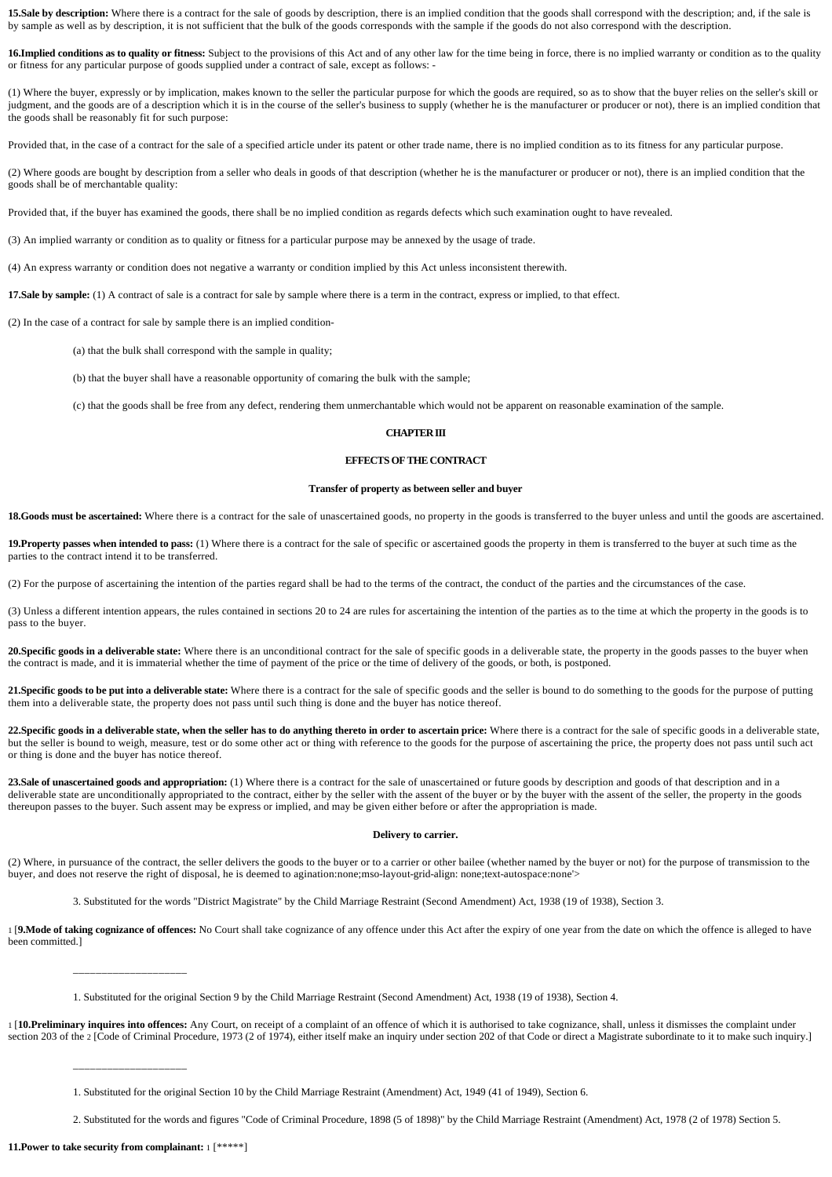15.Sale by description: Where there is a contract for the sale of goods by description, there is an implied condition that the goods shall correspond with the description; and, if the sale is by sample as well as by description, it is not sufficient that the bulk of the goods corresponds with the sample if the goods do not also correspond with the description.

**16.Implied conditions as to quality or fitness:** Subject to the provisions of this Act and of any other law for the time being in force, there is no implied warranty or condition as to the quality or fitness for any particular purpose of goods supplied under a contract of sale, except as follows: -

(1) Where the buyer, expressly or by implication, makes known to the seller the particular purpose for which the goods are required, so as to show that the buyer relies on the seller's skill or judgment, and the goods are of a description which it is in the course of the seller's business to supply (whether he is the manufacturer or producer or not), there is an implied condition that the goods shall be reasonably fit for such purpose:

Provided that, in the case of a contract for the sale of a specified article under its patent or other trade name, there is no implied condition as to its fitness for any particular purpose.

(2) Where goods are bought by description from a seller who deals in goods of that description (whether he is the manufacturer or producer or not), there is an implied condition that the goods shall be of merchantable quality:

Provided that, if the buyer has examined the goods, there shall be no implied condition as regards defects which such examination ought to have revealed.

(3) An implied warranty or condition as to quality or fitness for a particular purpose may be annexed by the usage of trade.

(4) An express warranty or condition does not negative a warranty or condition implied by this Act unless inconsistent therewith.

**17.Sale by sample:** (1) A contract of sale is a contract for sale by sample where there is a term in the contract, express or implied, to that effect.

(2) In the case of a contract for sale by sample there is an implied condition-

(a) that the bulk shall correspond with the sample in quality;

(b) that the buyer shall have a reasonable opportunity of comaring the bulk with the sample;

(c) that the goods shall be free from any defect, rendering them unmerchantable which would not be apparent on reasonable examination of the sample.

## **CHAPTER III**

## **EFFECTS OF THE CONTRACT**

### **Transfer of property as between seller and buyer**

18.Goods must be ascertained: Where there is a contract for the sale of unascertained goods, no property in the goods is transferred to the buyer unless and until the goods are ascertained.

19.Property passes when intended to pass: (1) Where there is a contract for the sale of specific or ascertained goods the property in them is transferred to the buyer at such time as the parties to the contract intend it to be transferred.

(2) For the purpose of ascertaining the intention of the parties regard shall be had to the terms of the contract, the conduct of the parties and the circumstances of the case.

(3) Unless a different intention appears, the rules contained in sections 20 to 24 are rules for ascertaining the intention of the parties as to the time at which the property in the goods is to pass to the buyer.

20. Specific goods in a deliverable state: Where there is an unconditional contract for the sale of specific goods in a deliverable state, the property in the goods passes to the buyer when the contract is made, and it is immaterial whether the time of payment of the price or the time of delivery of the goods, or both, is postponed.

21. Specific goods to be put into a deliverable state: Where there is a contract for the sale of specific goods and the seller is bound to do something to the goods for the purpose of putting them into a deliverable state, the property does not pass until such thing is done and the buyer has notice thereof.

22. Specific goods in a deliverable state, when the seller has to do anything thereto in order to ascertain price: Where there is a contract for the sale of specific goods in a deliverable state, but the seller is bound to weigh, measure, test or do some other act or thing with reference to the goods for the purpose of ascertaining the price, the property does not pass until such act or thing is done and the buyer has notice thereof.

23.Sale of unascertained goods and appropriation: (1) Where there is a contract for the sale of unascertained or future goods by description and goods of that description and in a deliverable state are unconditionally appropriated to the contract, either by the seller with the assent of the buyer or by the buyer with the assent of the seller, the property in the goods thereupon passes to the buyer. Such assent may be express or implied, and may be given either before or after the appropriation is made.

### **Delivery to carrier.**

(2) Where, in pursuance of the contract, the seller delivers the goods to the buyer or to a carrier or other bailee (whether named by the buyer or not) for the purpose of transmission to the buyer, and does not reserve the right of disposal, he is deemed to agination:none;mso-layout-grid-align: none;text-autospace:none'>

3. Substituted for the words "District Magistrate" by the Child Marriage Restraint (Second Amendment) Act, 1938 (19 of 1938), Section 3.

1 [**9.Mode of taking cognizance of offences:** No Court shall take cognizance of any offence under this Act after the expiry of one year from the date on which the offence is alleged to have been committed.]

1. Substituted for the original Section 9 by the Child Marriage Restraint (Second Amendment) Act, 1938 (19 of 1938), Section 4.

1 [**10.Preliminary inquires into offences:** Any Court, on receipt of a complaint of an offence of which it is authorised to take cognizance, shall, unless it dismisses the complaint under section 203 of the 2 [Code of Criminal Procedure, 1973 (2 of 1974), either itself make an inquiry under section 202 of that Code or direct a Magistrate subordinate to it to make such inquiry.]

1. Substituted for the original Section 10 by the Child Marriage Restraint (Amendment) Act, 1949 (41 of 1949), Section 6.

2. Substituted for the words and figures "Code of Criminal Procedure, 1898 (5 of 1898)" by the Child Marriage Restraint (Amendment) Act, 1978 (2 of 1978) Section 5.

**11.Power to take security from complainant:** 1 [\*\*\*\*\*]

\_\_\_\_\_\_\_\_\_\_\_\_\_\_\_\_\_\_\_\_

\_\_\_\_\_\_\_\_\_\_\_\_\_\_\_\_\_\_\_\_